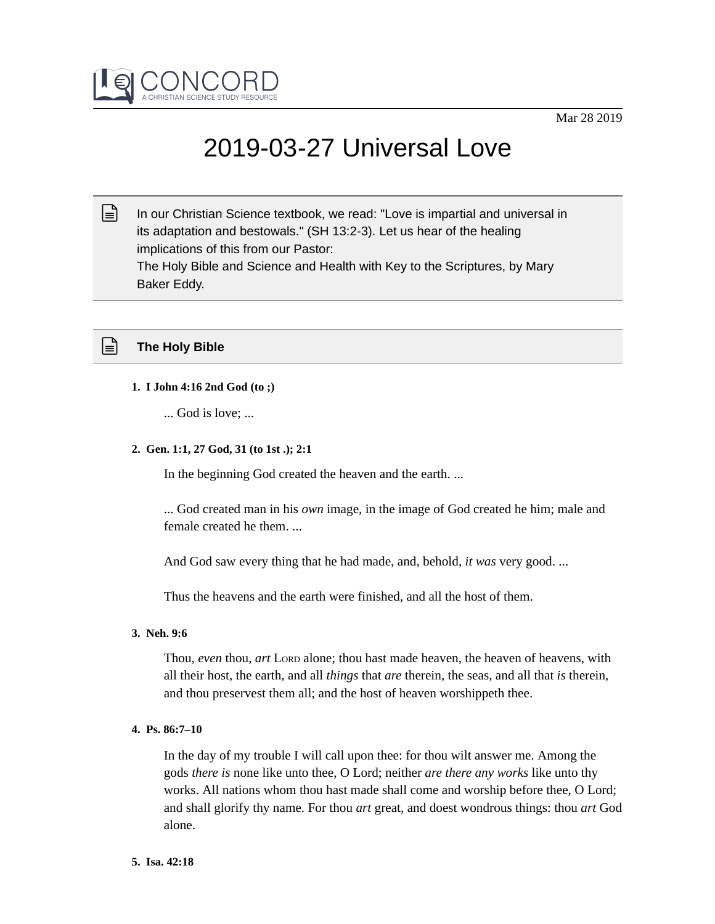

# 2019-03-27 Universal Love

In our Christian Science textbook, we read: "Love is impartial and universal in its adaptation and bestowals." (SH 13:2-3). Let us hear of the healing implications of this from our Pastor: The Holy Bible and Science and Health with Key to the Scriptures, by Mary Baker Eddy.  $\mathbb{R}$ 



# **1. I John 4:16 2nd God (to ;)**

... God is love; ...

# **2. Gen. 1:1, 27 God, 31 (to 1st .); 2:1**

In the beginning God created the heaven and the earth. ...

... God created man in his *own* image, in the image of God created he him; male and female created he them. ...

And God saw every thing that he had made, and, behold, *it was* very good. ...

Thus the heavens and the earth were finished, and all the host of them.

# **3. Neh. 9:6**

Thou, *even* thou, *art* LORD alone; thou hast made heaven, the heaven of heavens, with all their host, the earth, and all *things* that *are* therein, the seas, and all that *is* therein, and thou preservest them all; and the host of heaven worshippeth thee.

# **4. Ps. 86:7–10**

In the day of my trouble I will call upon thee: for thou wilt answer me. Among the gods *there is* none like unto thee, O Lord; neither *are there any works* like unto thy works. All nations whom thou hast made shall come and worship before thee, O Lord; and shall glorify thy name. For thou *art* great, and doest wondrous things: thou *art* God alone.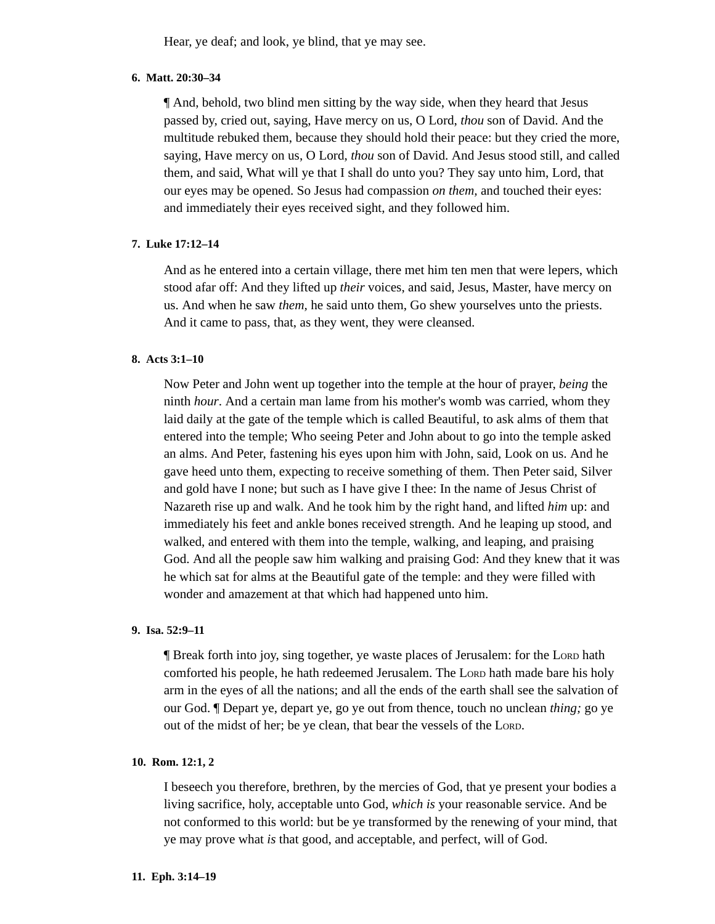Hear, ye deaf; and look, ye blind, that ye may see.

## **6. Matt. 20:30–34**

¶ And, behold, two blind men sitting by the way side, when they heard that Jesus passed by, cried out, saying, Have mercy on us, O Lord, *thou* son of David. And the multitude rebuked them, because they should hold their peace: but they cried the more, saying, Have mercy on us, O Lord, *thou* son of David. And Jesus stood still, and called them, and said, What will ye that I shall do unto you? They say unto him, Lord, that our eyes may be opened. So Jesus had compassion *on them,* and touched their eyes: and immediately their eyes received sight, and they followed him.

## **7. Luke 17:12–14**

And as he entered into a certain village, there met him ten men that were lepers, which stood afar off: And they lifted up *their* voices, and said, Jesus, Master, have mercy on us. And when he saw *them,* he said unto them, Go shew yourselves unto the priests. And it came to pass, that, as they went, they were cleansed.

## **8. Acts 3:1–10**

Now Peter and John went up together into the temple at the hour of prayer, *being* the ninth *hour*. And a certain man lame from his mother's womb was carried, whom they laid daily at the gate of the temple which is called Beautiful, to ask alms of them that entered into the temple; Who seeing Peter and John about to go into the temple asked an alms. And Peter, fastening his eyes upon him with John, said, Look on us. And he gave heed unto them, expecting to receive something of them. Then Peter said, Silver and gold have I none; but such as I have give I thee: In the name of Jesus Christ of Nazareth rise up and walk. And he took him by the right hand, and lifted *him* up: and immediately his feet and ankle bones received strength. And he leaping up stood, and walked, and entered with them into the temple, walking, and leaping, and praising God. And all the people saw him walking and praising God: And they knew that it was he which sat for alms at the Beautiful gate of the temple: and they were filled with wonder and amazement at that which had happened unto him.

## **9. Isa. 52:9–11**

¶ Break forth into joy, sing together, ye waste places of Jerusalem: for the LORD hath comforted his people, he hath redeemed Jerusalem. The LORD hath made bare his holy arm in the eyes of all the nations; and all the ends of the earth shall see the salvation of our God. ¶ Depart ye, depart ye, go ye out from thence, touch no unclean *thing;* go ye out of the midst of her; be ye clean, that bear the vessels of the LORD.

#### **10. Rom. 12:1, 2**

I beseech you therefore, brethren, by the mercies of God, that ye present your bodies a living sacrifice, holy, acceptable unto God, *which is* your reasonable service. And be not conformed to this world: but be ye transformed by the renewing of your mind, that ye may prove what *is* that good, and acceptable, and perfect, will of God.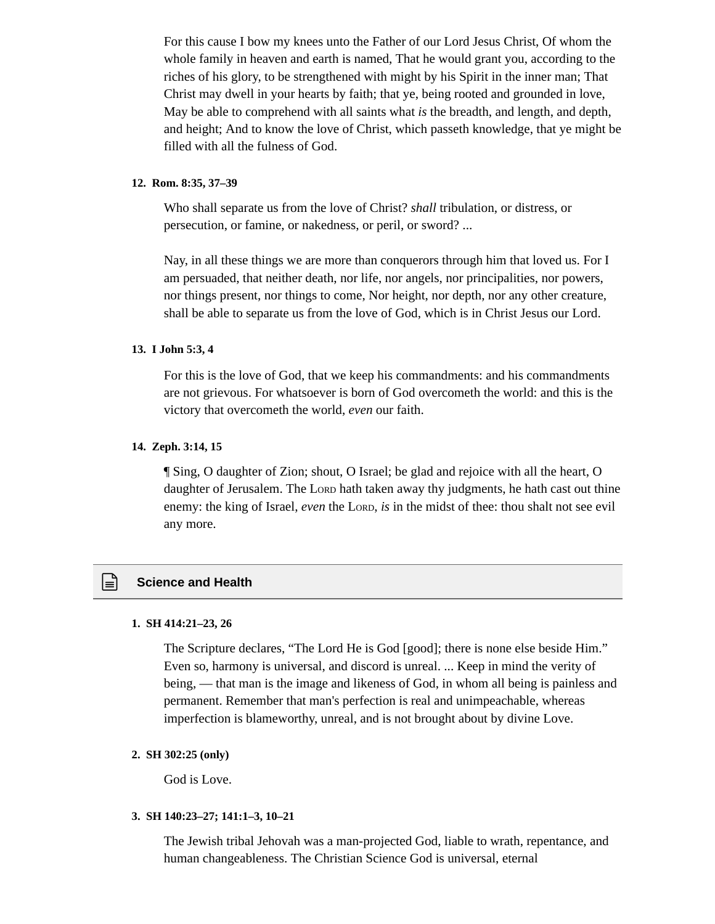For this cause I bow my knees unto the Father of our Lord Jesus Christ, Of whom the whole family in heaven and earth is named, That he would grant you, according to the riches of his glory, to be strengthened with might by his Spirit in the inner man; That Christ may dwell in your hearts by faith; that ye, being rooted and grounded in love, May be able to comprehend with all saints what *is* the breadth, and length, and depth, and height; And to know the love of Christ, which passeth knowledge, that ye might be filled with all the fulness of God.

#### **12. Rom. 8:35, 37–39**

Who shall separate us from the love of Christ? *shall* tribulation, or distress, or persecution, or famine, or nakedness, or peril, or sword? ...

Nay, in all these things we are more than conquerors through him that loved us. For I am persuaded, that neither death, nor life, nor angels, nor principalities, nor powers, nor things present, nor things to come, Nor height, nor depth, nor any other creature, shall be able to separate us from the love of God, which is in Christ Jesus our Lord.

## **13. I John 5:3, 4**

For this is the love of God, that we keep his commandments: and his commandments are not grievous. For whatsoever is born of God overcometh the world: and this is the victory that overcometh the world, *even* our faith.

#### **14. Zeph. 3:14, 15**

¶ Sing, O daughter of Zion; shout, O Israel; be glad and rejoice with all the heart, O daughter of Jerusalem. The LORD hath taken away thy judgments, he hath cast out thine enemy: the king of Israel, *even* the LORD, *is* in the midst of thee: thou shalt not see evil any more.

# **Science and Health**

#### **1. SH 414:21–23, 26**

The Scripture declares, "The Lord He is God [good]; there is none else beside Him." Even so, harmony is universal, and discord is unreal. ... Keep in mind the verity of being, — that man is the image and likeness of God, in whom all being is painless and permanent. Remember that man's perfection is real and unimpeachable, whereas imperfection is blameworthy, unreal, and is not brought about by divine Love.

## **2. SH 302:25 (only)**

God is Love.

#### **3. SH 140:23–27; 141:1–3, 10–21**

The Jewish tribal Jehovah was a man-projected God, liable to wrath, repentance, and human changeableness. The Christian Science God is universal, eternal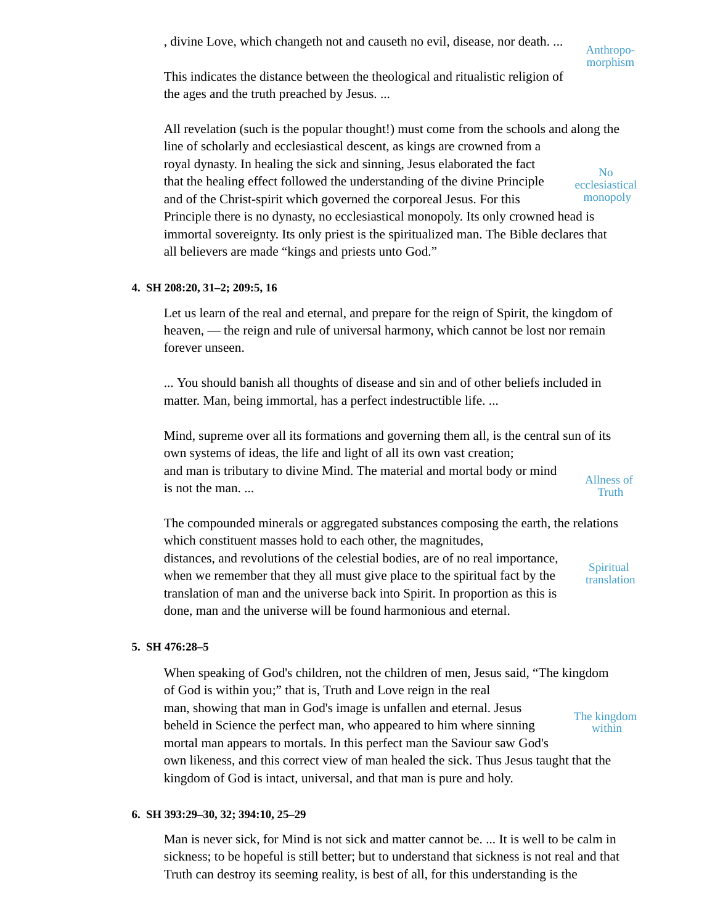, divine Love, which changeth not and causeth no evil, disease, nor death. ...

Anthropomorphism

This indicates the distance between the theological and ritualistic religion of the ages and the truth preached by Jesus. ...

All revelation (such is the popular thought!) must come from the schools and along the line of scholarly and ecclesiastical descent, as kings are crowned from a royal dynasty. In healing the sick and sinning, Jesus elaborated the fact that the healing effect followed the understanding of the divine Principle and of the Christ-spirit which governed the corporeal Jesus. For this Principle there is no dynasty, no ecclesiastical monopoly. Its only crowned head is immortal sovereignty. Its only priest is the spiritualized man. The Bible declares that all believers are made "kings and priests unto God." No ecclesiastical monopoly

# **4. SH 208:20, 31–2; 209:5, 16**

Let us learn of the real and eternal, and prepare for the reign of Spirit, the kingdom of heaven, — the reign and rule of universal harmony, which cannot be lost nor remain forever unseen.

... You should banish all thoughts of disease and sin and of other beliefs included in matter. Man, being immortal, has a perfect indestructible life. ...

Mind, supreme over all its formations and governing them all, is the central sun of its own systems of ideas, the life and light of all its own vast creation; and man is tributary to divine Mind. The material and mortal body or mind is not the man. ... Allness of **Truth** 

The compounded minerals or aggregated substances composing the earth, the relations which constituent masses hold to each other, the magnitudes, distances, and revolutions of the celestial bodies, are of no real importance, when we remember that they all must give place to the spiritual fact by the translation of man and the universe back into Spirit. In proportion as this is done, man and the universe will be found harmonious and eternal. **Spiritual** translation

# **5. SH 476:28–5**

When speaking of God's children, not the children of men, Jesus said, "The kingdom of God is within you;" that is, Truth and Love reign in the real man, showing that man in God's image is unfallen and eternal. Jesus beheld in Science the perfect man, who appeared to him where sinning mortal man appears to mortals. In this perfect man the Saviour saw God's own likeness, and this correct view of man healed the sick. Thus Jesus taught that the kingdom of God is intact, universal, and that man is pure and holy. The kingdom within

# **6. SH 393:29–30, 32; 394:10, 25–29**

Man is never sick, for Mind is not sick and matter cannot be. ... It is well to be calm in sickness; to be hopeful is still better; but to understand that sickness is not real and that Truth can destroy its seeming reality, is best of all, for this understanding is the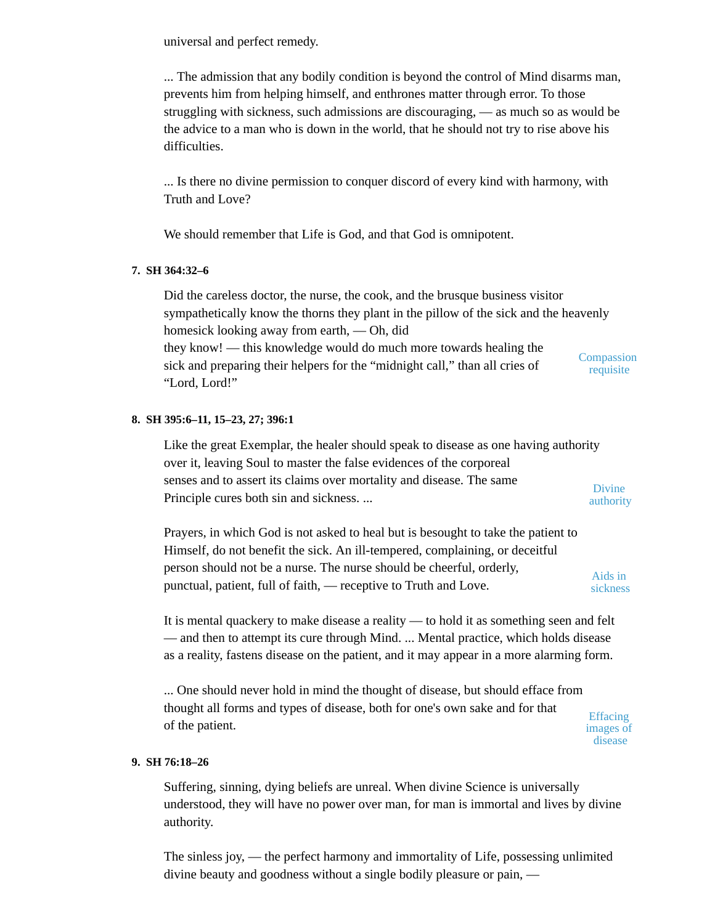universal and perfect remedy.

... The admission that any bodily condition is beyond the control of Mind disarms man, prevents him from helping himself, and enthrones matter through error. To those struggling with sickness, such admissions are discouraging, — as much so as would be the advice to a man who is down in the world, that he should not try to rise above his difficulties.

... Is there no divine permission to conquer discord of every kind with harmony, with Truth and Love?

We should remember that Life is God, and that God is omnipotent.

# **7. SH 364:32–6**

Did the careless doctor, the nurse, the cook, and the brusque business visitor sympathetically know the thorns they plant in the pillow of the sick and the heavenly homesick looking away from earth, — Oh, did they know! — this knowledge would do much more towards healing the sick and preparing their helpers for the "midnight call," than all cries of "Lord, Lord!" **Compassion** requisite

# **8. SH 395:6–11, 15–23, 27; 396:1**

Like the great Exemplar, the healer should speak to disease as one having authority over it, leaving Soul to master the false evidences of the corporeal senses and to assert its claims over mortality and disease. The same Principle cures both sin and sickness. ... Divine authority

Prayers, in which God is not asked to heal but is besought to take the patient to Himself, do not benefit the sick. An ill-tempered, complaining, or deceitful person should not be a nurse. The nurse should be cheerful, orderly, punctual, patient, full of faith, — receptive to Truth and Love. Aids in sickness

It is mental quackery to make disease a reality — to hold it as something seen and felt — and then to attempt its cure through Mind. ... Mental practice, which holds disease as a reality, fastens disease on the patient, and it may appear in a more alarming form.

... One should never hold in mind the thought of disease, but should efface from thought all forms and types of disease, both for one's own sake and for that of the patient.

Effacing images of disease

# **9. SH 76:18–26**

Suffering, sinning, dying beliefs are unreal. When divine Science is universally understood, they will have no power over man, for man is immortal and lives by divine authority.

The sinless joy, — the perfect harmony and immortality of Life, possessing unlimited divine beauty and goodness without a single bodily pleasure or pain, —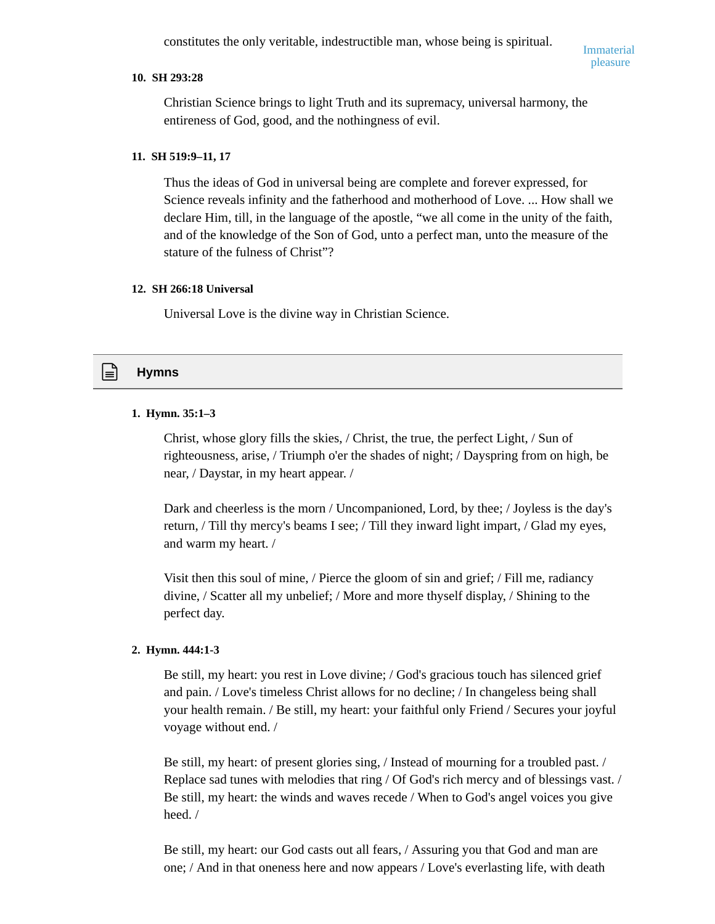constitutes the only veritable, indestructible man, whose being is spiritual.

# **10. SH 293:28**

Christian Science brings to light Truth and its supremacy, universal harmony, the entireness of God, good, and the nothingness of evil.

## **11. SH 519:9–11, 17**

Thus the ideas of God in universal being are complete and forever expressed, for Science reveals infinity and the fatherhood and motherhood of Love. ... How shall we declare Him, till, in the language of the apostle, "we all come in the unity of the faith, and of the knowledge of the Son of God, unto a perfect man, unto the measure of the stature of the fulness of Christ"?

#### **12. SH 266:18 Universal**

Universal Love is the divine way in Christian Science.

# **Hymns**

## **1. Hymn. 35:1–3**

Christ, whose glory fills the skies, / Christ, the true, the perfect Light, / Sun of righteousness, arise, / Triumph o'er the shades of night; / Dayspring from on high, be near, / Daystar, in my heart appear. /

Dark and cheerless is the morn / Uncompanioned, Lord, by thee; / Joyless is the day's return, / Till thy mercy's beams I see; / Till they inward light impart, / Glad my eyes, and warm my heart. /

Visit then this soul of mine, / Pierce the gloom of sin and grief; / Fill me, radiancy divine, / Scatter all my unbelief; / More and more thyself display, / Shining to the perfect day.

### **2. Hymn. 444:1-3**

Be still, my heart: you rest in Love divine; / God's gracious touch has silenced grief and pain. / Love's timeless Christ allows for no decline; / In changeless being shall your health remain. / Be still, my heart: your faithful only Friend / Secures your joyful voyage without end. /

Be still, my heart: of present glories sing, / Instead of mourning for a troubled past. / Replace sad tunes with melodies that ring / Of God's rich mercy and of blessings vast. / Be still, my heart: the winds and waves recede / When to God's angel voices you give heed. /

Be still, my heart: our God casts out all fears, / Assuring you that God and man are one; / And in that oneness here and now appears / Love's everlasting life, with death